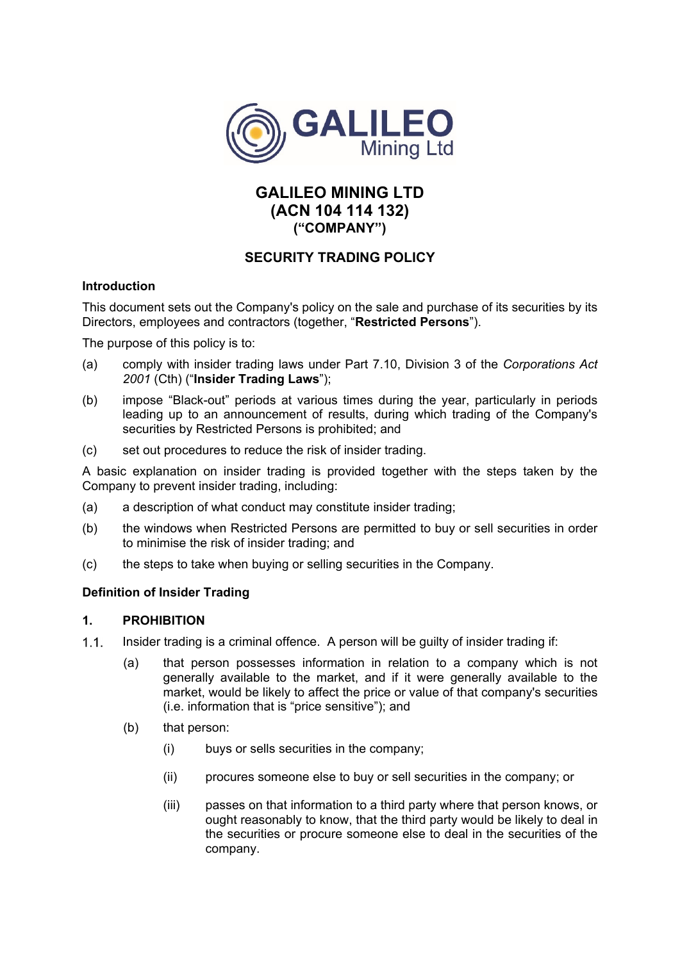

# **GALILEO MINING LTD (ACN 104 114 132) ("COMPANY")**

## **SECURITY TRADING POLICY**

### **Introduction**

This document sets out the Company's policy on the sale and purchase of its securities by its Directors, employees and contractors (together, "**Restricted Persons**").

The purpose of this policy is to:

- (a) comply with insider trading laws under Part 7.10, Division 3 of the *Corporations Act 2001* (Cth) ("**Insider Trading Laws**");
- (b) impose "Black-out" periods at various times during the year, particularly in periods leading up to an announcement of results, during which trading of the Company's securities by Restricted Persons is prohibited; and
- (c) set out procedures to reduce the risk of insider trading.

A basic explanation on insider trading is provided together with the steps taken by the Company to prevent insider trading, including:

- (a) a description of what conduct may constitute insider trading;
- (b) the windows when Restricted Persons are permitted to buy or sell securities in order to minimise the risk of insider trading; and
- (c) the steps to take when buying or selling securities in the Company.

### **Definition of Insider Trading**

### **1. PROHIBITION**

- 1.1. Insider trading is a criminal offence. A person will be guilty of insider trading if:
	- (a) that person possesses information in relation to a company which is not generally available to the market, and if it were generally available to the market, would be likely to affect the price or value of that company's securities (i.e. information that is "price sensitive"); and
	- (b) that person:
		- (i) buys or sells securities in the company;
		- (ii) procures someone else to buy or sell securities in the company; or
		- (iii) passes on that information to a third party where that person knows, or ought reasonably to know, that the third party would be likely to deal in the securities or procure someone else to deal in the securities of the company.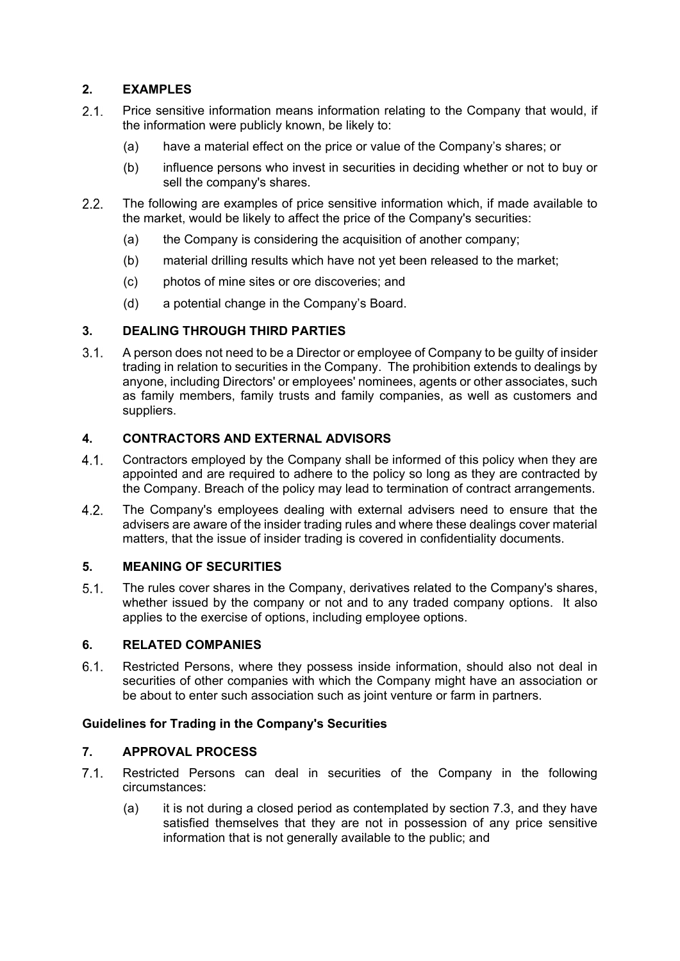## **2. EXAMPLES**

- 2.1. Price sensitive information means information relating to the Company that would, if the information were publicly known, be likely to:
	- (a) have a material effect on the price or value of the Company's shares; or
	- (b) influence persons who invest in securities in deciding whether or not to buy or sell the company's shares.
- The following are examples of price sensitive information which, if made available to the market, would be likely to affect the price of the Company's securities:
	- (a) the Company is considering the acquisition of another company;
	- (b) material drilling results which have not yet been released to the market;
	- (c) photos of mine sites or ore discoveries; and
	- (d) a potential change in the Company's Board.

### **3. DEALING THROUGH THIRD PARTIES**

 A person does not need to be a Director or employee of Company to be guilty of insider trading in relation to securities in the Company. The prohibition extends to dealings by anyone, including Directors' or employees' nominees, agents or other associates, such as family members, family trusts and family companies, as well as customers and suppliers.

### **4. CONTRACTORS AND EXTERNAL ADVISORS**

- 4.1. Contractors employed by the Company shall be informed of this policy when they are appointed and are required to adhere to the policy so long as they are contracted by the Company. Breach of the policy may lead to termination of contract arrangements.
- The Company's employees dealing with external advisers need to ensure that the advisers are aware of the insider trading rules and where these dealings cover material matters, that the issue of insider trading is covered in confidentiality documents.

### **5. MEANING OF SECURITIES**

 The rules cover shares in the Company, derivatives related to the Company's shares, whether issued by the company or not and to any traded company options. It also applies to the exercise of options, including employee options.

#### **6. RELATED COMPANIES**

 Restricted Persons, where they possess inside information, should also not deal in securities of other companies with which the Company might have an association or be about to enter such association such as joint venture or farm in partners.

#### **Guidelines for Trading in the Company's Securities**

#### **7. APPROVAL PROCESS**

- 7.1. Restricted Persons can deal in securities of the Company in the following circumstances:
	- (a) it is not during a closed period as contemplated by section 7.3, and they have satisfied themselves that they are not in possession of any price sensitive information that is not generally available to the public; and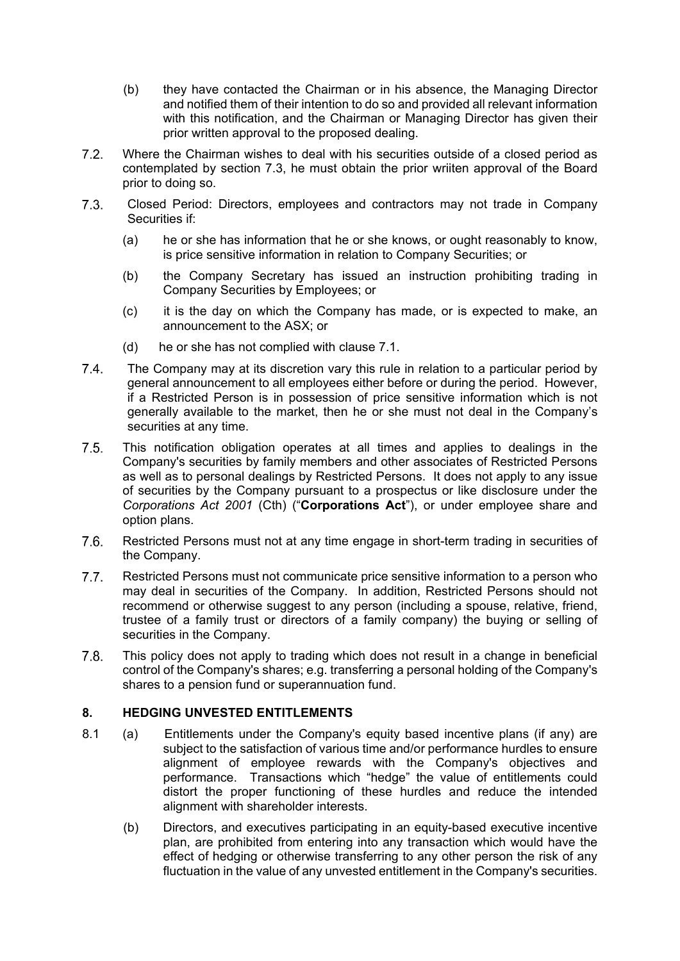- (b) they have contacted the Chairman or in his absence, the Managing Director and notified them of their intention to do so and provided all relevant information with this notification, and the Chairman or Managing Director has given their prior written approval to the proposed dealing.
- Where the Chairman wishes to deal with his securities outside of a closed period as contemplated by section 7.3, he must obtain the prior wriiten approval of the Board prior to doing so.
- Closed Period: Directors, employees and contractors may not trade in Company Securities if:
	- (a) he or she has information that he or she knows, or ought reasonably to know, is price sensitive information in relation to Company Securities; or
	- (b) the Company Secretary has issued an instruction prohibiting trading in Company Securities by Employees; or
	- (c) it is the day on which the Company has made, or is expected to make, an announcement to the ASX; or
	- (d) he or she has not complied with clause 7.1.
- The Company may at its discretion vary this rule in relation to a particular period by general announcement to all employees either before or during the period. However, if a Restricted Person is in possession of price sensitive information which is not generally available to the market, then he or she must not deal in the Company's securities at any time.
- This notification obligation operates at all times and applies to dealings in the Company's securities by family members and other associates of Restricted Persons as well as to personal dealings by Restricted Persons. It does not apply to any issue of securities by the Company pursuant to a prospectus or like disclosure under the *Corporations Act 2001* (Cth) ("**Corporations Act**"), or under employee share and option plans.
- Restricted Persons must not at any time engage in short-term trading in securities of the Company.
- 7.7. Restricted Persons must not communicate price sensitive information to a person who may deal in securities of the Company. In addition, Restricted Persons should not recommend or otherwise suggest to any person (including a spouse, relative, friend, trustee of a family trust or directors of a family company) the buying or selling of securities in the Company.
- This policy does not apply to trading which does not result in a change in beneficial control of the Company's shares; e.g. transferring a personal holding of the Company's shares to a pension fund or superannuation fund.

## **8. HEDGING UNVESTED ENTITLEMENTS**

- 8.1 (a) Entitlements under the Company's equity based incentive plans (if any) are subject to the satisfaction of various time and/or performance hurdles to ensure alignment of employee rewards with the Company's objectives and performance. Transactions which "hedge" the value of entitlements could distort the proper functioning of these hurdles and reduce the intended alignment with shareholder interests.
	- (b) Directors, and executives participating in an equity-based executive incentive plan, are prohibited from entering into any transaction which would have the effect of hedging or otherwise transferring to any other person the risk of any fluctuation in the value of any unvested entitlement in the Company's securities.